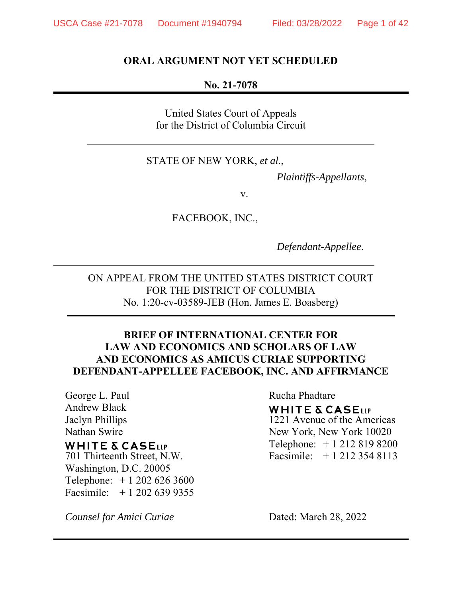#### **ORAL ARGUMENT NOT YET SCHEDULED**

#### **No. 21-7078**

United States Court of Appeals for the District of Columbia Circuit

#### STATE OF NEW YORK, *et al.*,

*Plaintiffs-Appellants*,

v.

FACEBOOK, INC.,

*Defendant-Appellee*.

ON APPEAL FROM THE UNITED STATES DISTRICT COURT FOR THE DISTRICT OF COLUMBIA No. 1:20-cv-03589-JEB (Hon. James E. Boasberg)

#### **BRIEF OF INTERNATIONAL CENTER FOR LAW AND ECONOMICS AND SCHOLARS OF LAW AND ECONOMICS AS AMICUS CURIAE SUPPORTING DEFENDANT-APPELLEE FACEBOOK, INC. AND AFFIRMANCE**

George L. Paul Andrew Black Jaclyn Phillips Nathan Swire

## **WHITE & CASELLP**

701 Thirteenth Street, N.W. Washington, D.C. 20005 Telephone: + 1 202 626 3600 Facsimile: + 1 202 639 9355

*Counsel for Amici Curiae* 

# Rucha Phadtare **WHITE & CASELLP** 1221 Avenue of the Americas New York, New York 10020

Telephone: + 1 212 819 8200 Facsimile: + 1 212 354 8113

Dated: March 28, 2022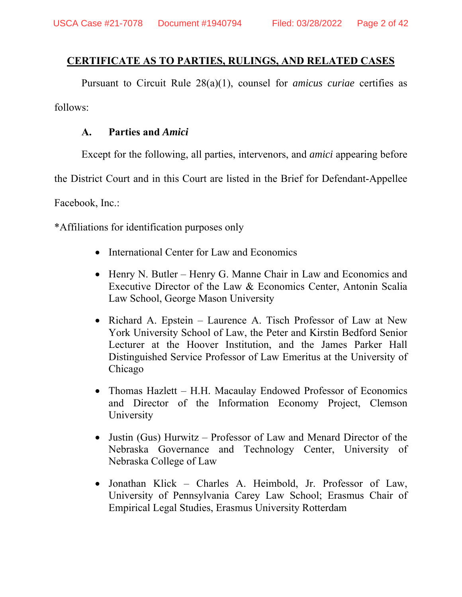## **CERTIFICATE AS TO PARTIES, RULINGS, AND RELATED CASES**

Pursuant to Circuit Rule 28(a)(1), counsel for *amicus curiae* certifies as follows:

#### **A. Parties and** *Amici*

Except for the following, all parties, intervenors, and *amici* appearing before

the District Court and in this Court are listed in the Brief for Defendant-Appellee

Facebook, Inc.:

\*Affiliations for identification purposes only

- International Center for Law and Economics
- Henry N. Butler Henry G. Manne Chair in Law and Economics and Executive Director of the Law & Economics Center, Antonin Scalia Law School, George Mason University
- Richard A. Epstein Laurence A. Tisch Professor of Law at New York University School of Law, the Peter and Kirstin Bedford Senior Lecturer at the Hoover Institution, and the James Parker Hall Distinguished Service Professor of Law Emeritus at the University of Chicago
- Thomas Hazlett H.H. Macaulay Endowed Professor of Economics and Director of the Information Economy Project, Clemson University
- Justin (Gus) Hurwitz Professor of Law and Menard Director of the Nebraska Governance and Technology Center, University of Nebraska College of Law
- Jonathan Klick Charles A. Heimbold, Jr. Professor of Law, University of Pennsylvania Carey Law School; Erasmus Chair of Empirical Legal Studies, Erasmus University Rotterdam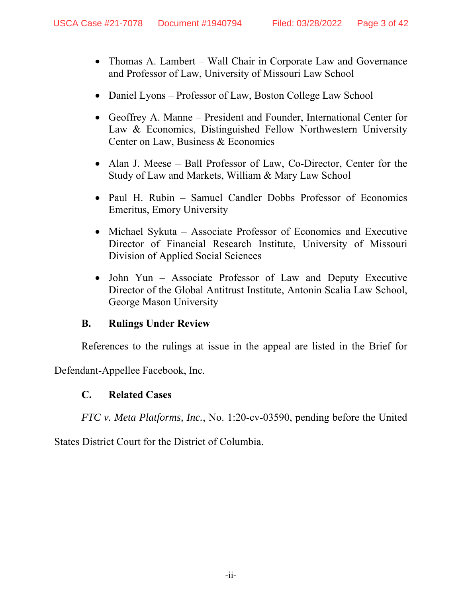- Thomas A. Lambert Wall Chair in Corporate Law and Governance and Professor of Law, University of Missouri Law School
- Daniel Lyons Professor of Law, Boston College Law School
- Geoffrey A. Manne President and Founder, International Center for Law & Economics, Distinguished Fellow Northwestern University Center on Law, Business & Economics
- Alan J. Meese Ball Professor of Law, Co-Director, Center for the Study of Law and Markets, William & Mary Law School
- Paul H. Rubin Samuel Candler Dobbs Professor of Economics Emeritus, Emory University
- Michael Sykuta Associate Professor of Economics and Executive Director of Financial Research Institute, University of Missouri Division of Applied Social Sciences
- John Yun Associate Professor of Law and Deputy Executive Director of the Global Antitrust Institute, Antonin Scalia Law School, George Mason University

#### **B. Rulings Under Review**

References to the rulings at issue in the appeal are listed in the Brief for

Defendant-Appellee Facebook, Inc.

#### **C. Related Cases**

*FTC v. Meta Platforms, Inc.*, No. 1:20-cv-03590, pending before the United

States District Court for the District of Columbia.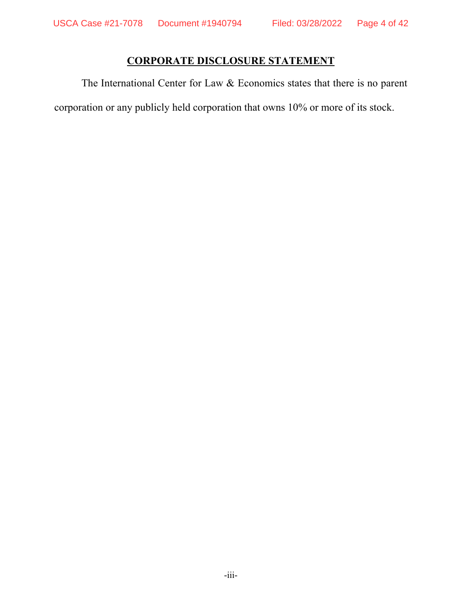# **CORPORATE DISCLOSURE STATEMENT**

The International Center for Law & Economics states that there is no parent corporation or any publicly held corporation that owns 10% or more of its stock.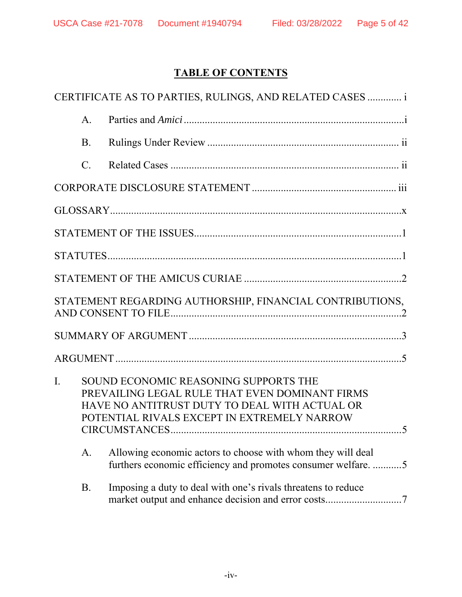# **TABLE OF CONTENTS**

| CERTIFICATE AS TO PARTIES, RULINGS, AND RELATED CASES  i |                |                                                                                                                                                                                                                 |  |  |  |
|----------------------------------------------------------|----------------|-----------------------------------------------------------------------------------------------------------------------------------------------------------------------------------------------------------------|--|--|--|
|                                                          | $\mathsf{A}$ . |                                                                                                                                                                                                                 |  |  |  |
|                                                          | <b>B.</b>      |                                                                                                                                                                                                                 |  |  |  |
|                                                          | $\mathbf{C}$ . |                                                                                                                                                                                                                 |  |  |  |
|                                                          |                |                                                                                                                                                                                                                 |  |  |  |
|                                                          |                |                                                                                                                                                                                                                 |  |  |  |
|                                                          |                |                                                                                                                                                                                                                 |  |  |  |
|                                                          |                |                                                                                                                                                                                                                 |  |  |  |
|                                                          |                |                                                                                                                                                                                                                 |  |  |  |
| STATEMENT REGARDING AUTHORSHIP, FINANCIAL CONTRIBUTIONS, |                |                                                                                                                                                                                                                 |  |  |  |
|                                                          |                |                                                                                                                                                                                                                 |  |  |  |
|                                                          |                |                                                                                                                                                                                                                 |  |  |  |
| I.                                                       |                | SOUND ECONOMIC REASONING SUPPORTS THE<br>PREVAILING LEGAL RULE THAT EVEN DOMINANT FIRMS<br>HAVE NO ANTITRUST DUTY TO DEAL WITH ACTUAL OR<br>POTENTIAL RIVALS EXCEPT IN EXTREMELY NARROW<br>CIRCUMSTANCES<br>. 5 |  |  |  |
|                                                          | A.             | Allowing economic actors to choose with whom they will deal<br>furthers economic efficiency and promotes consumer welfare5                                                                                      |  |  |  |
|                                                          | <b>B.</b>      | Imposing a duty to deal with one's rivals threatens to reduce                                                                                                                                                   |  |  |  |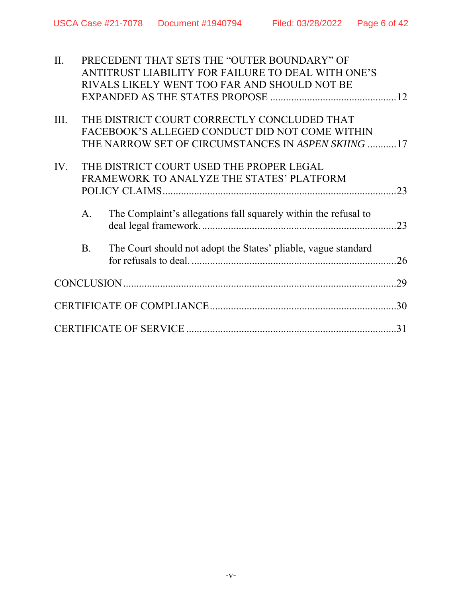| II.  | PRECEDENT THAT SETS THE "OUTER BOUNDARY" OF |                                                                 |     |  |
|------|---------------------------------------------|-----------------------------------------------------------------|-----|--|
|      |                                             | ANTITRUST LIABILITY FOR FAILURE TO DEAL WITH ONE'S              |     |  |
|      |                                             | RIVALS LIKELY WENT TOO FAR AND SHOULD NOT BE                    |     |  |
|      |                                             |                                                                 |     |  |
| III. |                                             | THE DISTRICT COURT CORRECTLY CONCLUDED THAT                     |     |  |
|      |                                             | FACEBOOK'S ALLEGED CONDUCT DID NOT COME WITHIN                  |     |  |
|      |                                             | THE NARROW SET OF CIRCUMSTANCES IN ASPEN SKIING 17              |     |  |
| IV.  | THE DISTRICT COURT USED THE PROPER LEGAL    |                                                                 |     |  |
|      |                                             | FRAMEWORK TO ANALYZE THE STATES' PLATFORM                       |     |  |
|      |                                             |                                                                 | .23 |  |
|      | $\mathbf{A}$ .                              | The Complaint's allegations fall squarely within the refusal to |     |  |
|      | <b>B.</b>                                   | The Court should not adopt the States' pliable, vague standard  | .26 |  |
|      |                                             |                                                                 | .29 |  |
|      |                                             |                                                                 |     |  |
|      |                                             |                                                                 | 31  |  |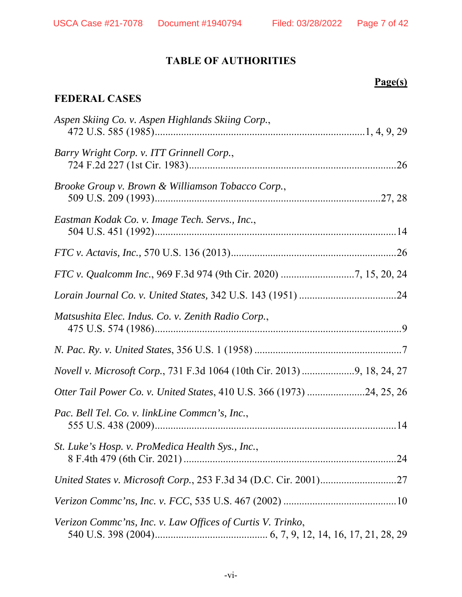# **TABLE OF AUTHORITIES**

# **Page(s)**

# **FEDERAL CASES**

| Aspen Skiing Co. v. Aspen Highlands Skiing Corp.,                       |
|-------------------------------------------------------------------------|
| Barry Wright Corp. v. ITT Grinnell Corp.,                               |
| Brooke Group v. Brown & Williamson Tobacco Corp.,                       |
| Eastman Kodak Co. v. Image Tech. Servs., Inc.,                          |
|                                                                         |
|                                                                         |
|                                                                         |
| Matsushita Elec. Indus. Co. v. Zenith Radio Corp.,                      |
|                                                                         |
| Novell v. Microsoft Corp., 731 F.3d 1064 (10th Cir. 2013) 9, 18, 24, 27 |
| Otter Tail Power Co. v. United States, 410 U.S. 366 (1973) 24, 25, 26   |
| Pac. Bell Tel. Co. v. linkLine Common's, Inc.,                          |
| St. Luke's Hosp. v. ProMedica Health Sys., Inc.,                        |
|                                                                         |
|                                                                         |
| Verizon Commc'ns, Inc. v. Law Offices of Curtis V. Trinko,              |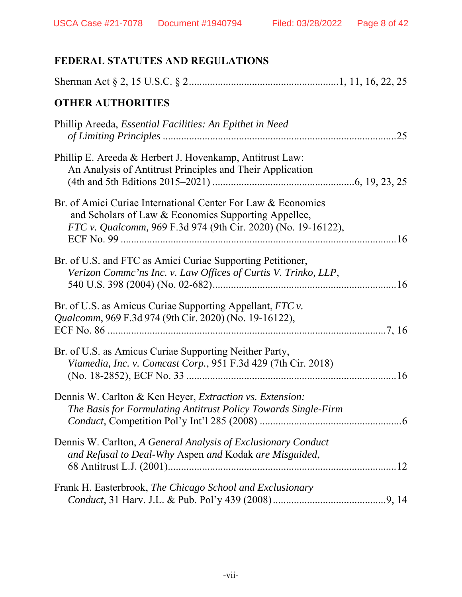# **FEDERAL STATUTES AND REGULATIONS**

| <b>OTHER AUTHORITIES</b>                                                                                                                                                              |
|---------------------------------------------------------------------------------------------------------------------------------------------------------------------------------------|
| Phillip Areeda, Essential Facilities: An Epithet in Need                                                                                                                              |
| Phillip E. Areeda & Herbert J. Hovenkamp, Antitrust Law:<br>An Analysis of Antitrust Principles and Their Application                                                                 |
| Br. of Amici Curiae International Center For Law & Economics<br>and Scholars of Law & Economics Supporting Appellee,<br>FTC v. Qualcomm, 969 F.3d 974 (9th Cir. 2020) (No. 19-16122), |
| Br. of U.S. and FTC as Amici Curiae Supporting Petitioner,<br>Verizon Commc'ns Inc. v. Law Offices of Curtis V. Trinko, LLP,                                                          |
| Br. of U.S. as Amicus Curiae Supporting Appellant, FTC v.<br>Qualcomm, 969 F.3d 974 (9th Cir. 2020) (No. 19-16122),                                                                   |
| Br. of U.S. as Amicus Curiae Supporting Neither Party,<br>Viamedia, Inc. v. Comcast Corp., 951 F.3d 429 (7th Cir. 2018)                                                               |
| Dennis W. Carlton & Ken Heyer, Extraction vs. Extension:<br>The Basis for Formulating Antitrust Policy Towards Single-Firm                                                            |
| Dennis W. Carlton, A General Analysis of Exclusionary Conduct<br>and Refusal to Deal-Why Aspen and Kodak are Misguided,                                                               |
| Frank H. Easterbrook, The Chicago School and Exclusionary                                                                                                                             |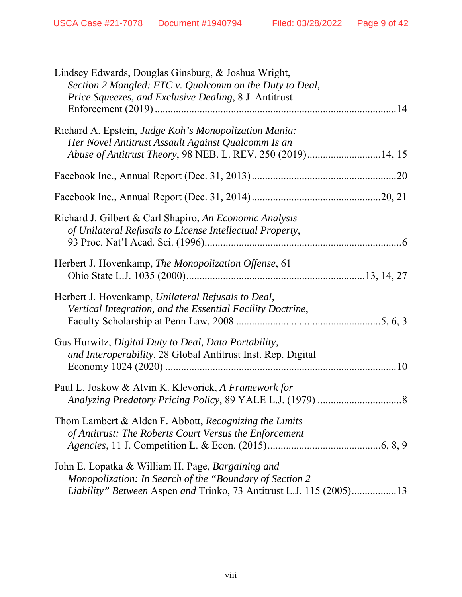| Lindsey Edwards, Douglas Ginsburg, & Joshua Wright,<br>Section 2 Mangled: FTC v. Qualcomm on the Duty to Deal,<br>Price Squeezes, and Exclusive Dealing, 8 J. Antitrust             |
|-------------------------------------------------------------------------------------------------------------------------------------------------------------------------------------|
| Richard A. Epstein, Judge Koh's Monopolization Mania:<br>Her Novel Antitrust Assault Against Qualcomm Is an<br>Abuse of Antitrust Theory, 98 NEB. L. REV. 250 (2019)14, 15          |
|                                                                                                                                                                                     |
|                                                                                                                                                                                     |
| Richard J. Gilbert & Carl Shapiro, An Economic Analysis<br>of Unilateral Refusals to License Intellectual Property,                                                                 |
| Herbert J. Hovenkamp, The Monopolization Offense, 61                                                                                                                                |
| Herbert J. Hovenkamp, Unilateral Refusals to Deal,<br>Vertical Integration, and the Essential Facility Doctrine,                                                                    |
| Gus Hurwitz, Digital Duty to Deal, Data Portability,<br>and Interoperability, 28 Global Antitrust Inst. Rep. Digital                                                                |
| Paul L. Joskow & Alvin K. Klevorick, A Framework for                                                                                                                                |
| Thom Lambert & Alden F. Abbott, <i>Recognizing the Limits</i><br>of Antitrust: The Roberts Court Versus the Enforcement                                                             |
| John E. Lopatka & William H. Page, Bargaining and<br>Monopolization: In Search of the "Boundary of Section 2<br>Liability" Between Aspen and Trinko, 73 Antitrust L.J. 115 (2005)13 |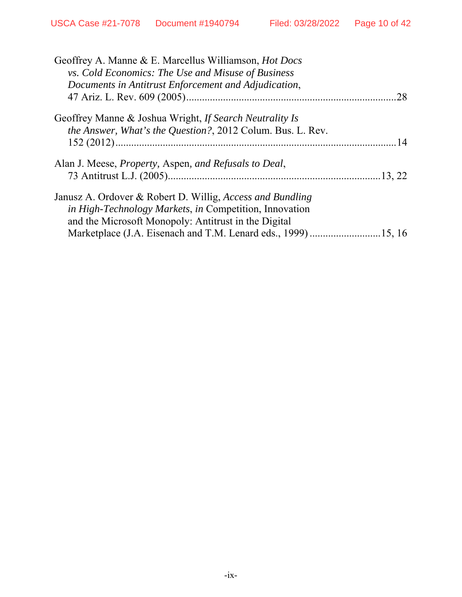| Geoffrey A. Manne & E. Marcellus Williamson, <i>Hot Docs</i>                                                      |     |
|-------------------------------------------------------------------------------------------------------------------|-----|
| <i>vs. Cold Economics: The Use and Misuse of Business</i><br>Documents in Antitrust Enforcement and Adjudication, |     |
|                                                                                                                   | .28 |
| Geoffrey Manne & Joshua Wright, If Search Neutrality Is                                                           |     |
| the Answer, What's the Question?, 2012 Colum. Bus. L. Rev.                                                        |     |
|                                                                                                                   |     |
| Alan J. Meese, <i>Property</i> , Aspen, and Refusals to Deal,                                                     |     |
|                                                                                                                   |     |
| Janusz A. Ordover & Robert D. Willig, Access and Bundling                                                         |     |
| <i>in High-Technology Markets, in Competition, Innovation</i>                                                     |     |
| and the Microsoft Monopoly: Antitrust in the Digital                                                              |     |
|                                                                                                                   |     |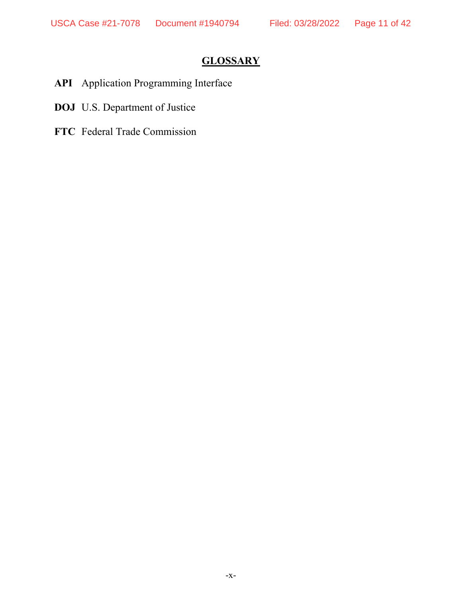# **GLOSSARY**

- **API** Application Programming Interface
- **DOJ** U.S. Department of Justice
- **FTC** Federal Trade Commission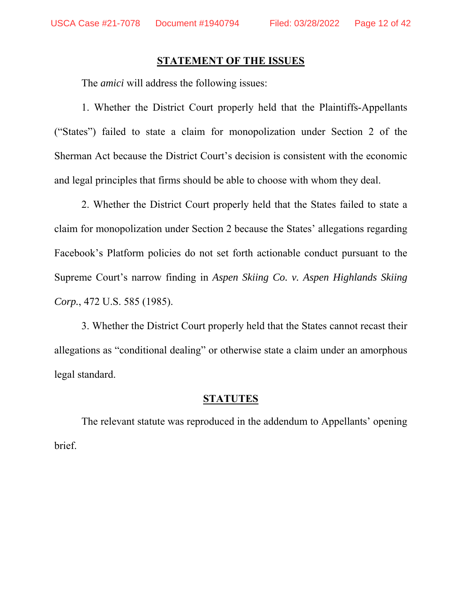#### **STATEMENT OF THE ISSUES**

The *amici* will address the following issues:

1. Whether the District Court properly held that the Plaintiffs-Appellants ("States") failed to state a claim for monopolization under Section 2 of the Sherman Act because the District Court's decision is consistent with the economic and legal principles that firms should be able to choose with whom they deal.

2. Whether the District Court properly held that the States failed to state a claim for monopolization under Section 2 because the States' allegations regarding Facebook's Platform policies do not set forth actionable conduct pursuant to the Supreme Court's narrow finding in *Aspen Skiing Co. v. Aspen Highlands Skiing Corp.*, 472 U.S. 585 (1985).

3. Whether the District Court properly held that the States cannot recast their allegations as "conditional dealing" or otherwise state a claim under an amorphous legal standard.

#### **STATUTES**

The relevant statute was reproduced in the addendum to Appellants' opening brief.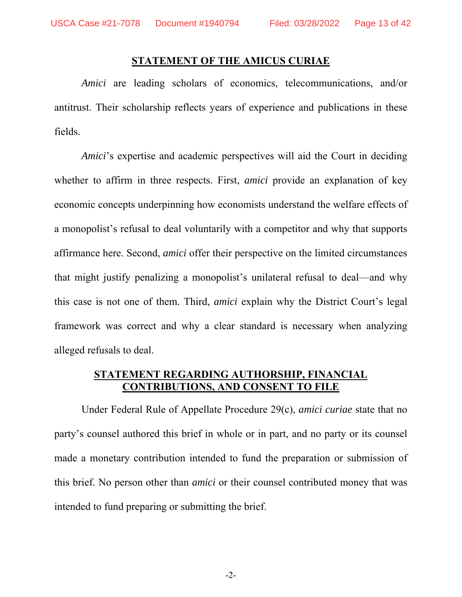#### **STATEMENT OF THE AMICUS CURIAE**

*Amici* are leading scholars of economics, telecommunications, and/or antitrust. Their scholarship reflects years of experience and publications in these fields.

*Amici*'s expertise and academic perspectives will aid the Court in deciding whether to affirm in three respects. First, *amici* provide an explanation of key economic concepts underpinning how economists understand the welfare effects of a monopolist's refusal to deal voluntarily with a competitor and why that supports affirmance here. Second, *amici* offer their perspective on the limited circumstances that might justify penalizing a monopolist's unilateral refusal to deal—and why this case is not one of them. Third, *amici* explain why the District Court's legal framework was correct and why a clear standard is necessary when analyzing alleged refusals to deal.

#### **STATEMENT REGARDING AUTHORSHIP, FINANCIAL CONTRIBUTIONS, AND CONSENT TO FILE**

Under Federal Rule of Appellate Procedure 29(c), *amici curiae* state that no party's counsel authored this brief in whole or in part, and no party or its counsel made a monetary contribution intended to fund the preparation or submission of this brief. No person other than *amici* or their counsel contributed money that was intended to fund preparing or submitting the brief.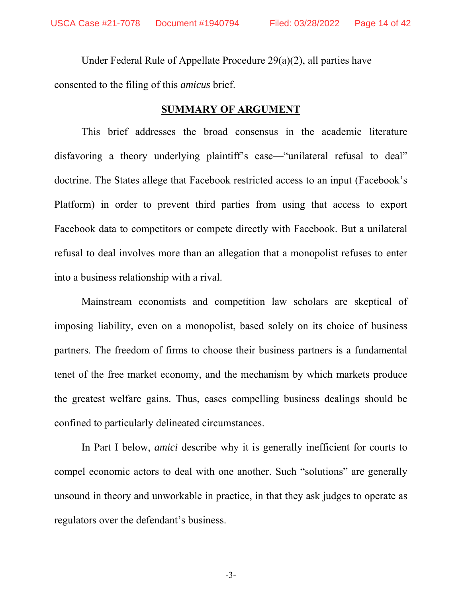Under Federal Rule of Appellate Procedure 29(a)(2), all parties have consented to the filing of this *amicus* brief.

#### **SUMMARY OF ARGUMENT**

This brief addresses the broad consensus in the academic literature disfavoring a theory underlying plaintiff's case—"unilateral refusal to deal" doctrine. The States allege that Facebook restricted access to an input (Facebook's Platform) in order to prevent third parties from using that access to export Facebook data to competitors or compete directly with Facebook. But a unilateral refusal to deal involves more than an allegation that a monopolist refuses to enter into a business relationship with a rival.

Mainstream economists and competition law scholars are skeptical of imposing liability, even on a monopolist, based solely on its choice of business partners. The freedom of firms to choose their business partners is a fundamental tenet of the free market economy, and the mechanism by which markets produce the greatest welfare gains. Thus, cases compelling business dealings should be confined to particularly delineated circumstances.

In Part I below, *amici* describe why it is generally inefficient for courts to compel economic actors to deal with one another. Such "solutions" are generally unsound in theory and unworkable in practice, in that they ask judges to operate as regulators over the defendant's business.

-3-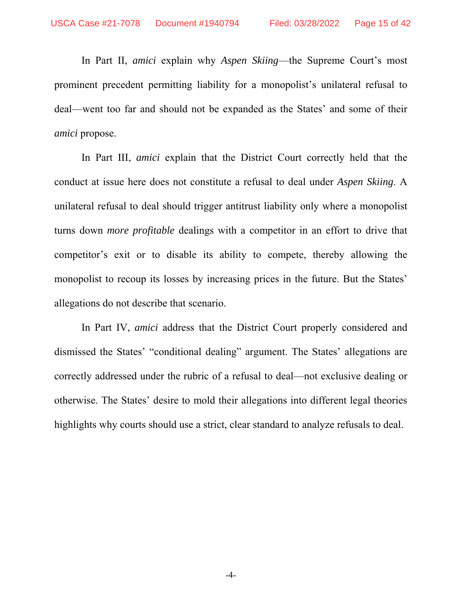In Part II, *amici* explain why *Aspen Skiing*—the Supreme Court's most prominent precedent permitting liability for a monopolist's unilateral refusal to deal—went too far and should not be expanded as the States' and some of their *amici* propose.

In Part III, *amici* explain that the District Court correctly held that the conduct at issue here does not constitute a refusal to deal under *Aspen Skiing*. A unilateral refusal to deal should trigger antitrust liability only where a monopolist turns down *more profitable* dealings with a competitor in an effort to drive that competitor's exit or to disable its ability to compete, thereby allowing the monopolist to recoup its losses by increasing prices in the future. But the States' allegations do not describe that scenario.

In Part IV, *amici* address that the District Court properly considered and dismissed the States' "conditional dealing" argument. The States' allegations are correctly addressed under the rubric of a refusal to deal—not exclusive dealing or otherwise. The States' desire to mold their allegations into different legal theories highlights why courts should use a strict, clear standard to analyze refusals to deal.

-4-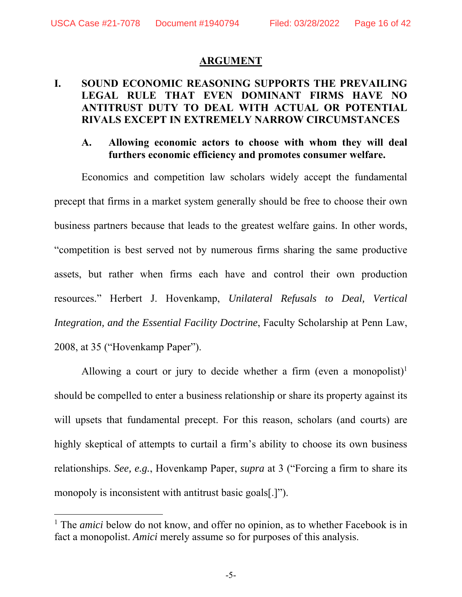#### **ARGUMENT**

## **I. SOUND ECONOMIC REASONING SUPPORTS THE PREVAILING LEGAL RULE THAT EVEN DOMINANT FIRMS HAVE NO ANTITRUST DUTY TO DEAL WITH ACTUAL OR POTENTIAL RIVALS EXCEPT IN EXTREMELY NARROW CIRCUMSTANCES**

#### **A. Allowing economic actors to choose with whom they will deal furthers economic efficiency and promotes consumer welfare.**

Economics and competition law scholars widely accept the fundamental precept that firms in a market system generally should be free to choose their own business partners because that leads to the greatest welfare gains. In other words, "competition is best served not by numerous firms sharing the same productive assets, but rather when firms each have and control their own production resources." Herbert J. Hovenkamp, *Unilateral Refusals to Deal, Vertical Integration, and the Essential Facility Doctrine*, Faculty Scholarship at Penn Law, 2008, at 35 ("Hovenkamp Paper").

Allowing a court or jury to decide whether a firm (even a monopolist)<sup>1</sup> should be compelled to enter a business relationship or share its property against its will upsets that fundamental precept. For this reason, scholars (and courts) are highly skeptical of attempts to curtail a firm's ability to choose its own business relationships. *See, e.g.*, Hovenkamp Paper, *supra* at 3 ("Forcing a firm to share its monopoly is inconsistent with antitrust basic goals[.]").

 $\overline{a}$ 

<sup>&</sup>lt;sup>1</sup> The *amici* below do not know, and offer no opinion, as to whether Facebook is in fact a monopolist. *Amici* merely assume so for purposes of this analysis.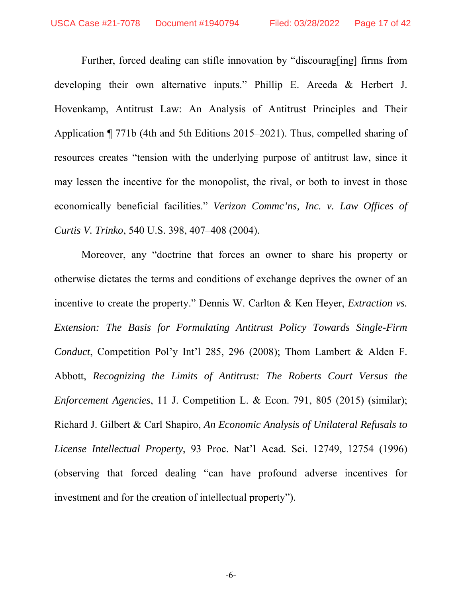Further, forced dealing can stifle innovation by "discourag[ing] firms from developing their own alternative inputs." Phillip E. Areeda & Herbert J. Hovenkamp, Antitrust Law: An Analysis of Antitrust Principles and Their Application ¶ 771b (4th and 5th Editions 2015–2021). Thus, compelled sharing of resources creates "tension with the underlying purpose of antitrust law, since it may lessen the incentive for the monopolist, the rival, or both to invest in those economically beneficial facilities." *Verizon Commc'ns, Inc. v. Law Offices of Curtis V. Trinko*, 540 U.S. 398, 407–408 (2004).

Moreover, any "doctrine that forces an owner to share his property or otherwise dictates the terms and conditions of exchange deprives the owner of an incentive to create the property." Dennis W. Carlton & Ken Heyer, *Extraction vs. Extension: The Basis for Formulating Antitrust Policy Towards Single-Firm Conduct*, Competition Pol'y Int'l 285, 296 (2008); Thom Lambert & Alden F. Abbott, *Recognizing the Limits of Antitrust: The Roberts Court Versus the Enforcement Agencies*, 11 J. Competition L. & Econ. 791, 805 (2015) (similar); Richard J. Gilbert & Carl Shapiro, *An Economic Analysis of Unilateral Refusals to License Intellectual Property*, 93 Proc. Nat'l Acad. Sci. 12749, 12754 (1996) (observing that forced dealing "can have profound adverse incentives for investment and for the creation of intellectual property").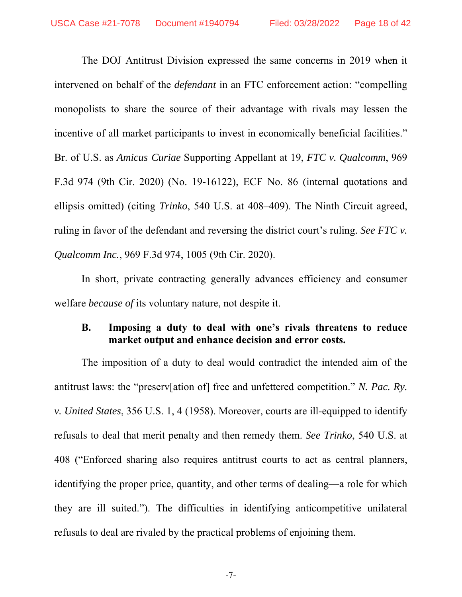The DOJ Antitrust Division expressed the same concerns in 2019 when it intervened on behalf of the *defendant* in an FTC enforcement action: "compelling monopolists to share the source of their advantage with rivals may lessen the incentive of all market participants to invest in economically beneficial facilities." Br. of U.S. as *Amicus Curiae* Supporting Appellant at 19, *FTC v. Qualcomm*, 969 F.3d 974 (9th Cir. 2020) (No. 19-16122), ECF No. 86 (internal quotations and ellipsis omitted) (citing *Trinko*, 540 U.S. at 408–409). The Ninth Circuit agreed, ruling in favor of the defendant and reversing the district court's ruling. *See FTC v. Qualcomm Inc.*, 969 F.3d 974, 1005 (9th Cir. 2020).

In short, private contracting generally advances efficiency and consumer welfare *because of* its voluntary nature, not despite it.

#### **B. Imposing a duty to deal with one's rivals threatens to reduce market output and enhance decision and error costs.**

The imposition of a duty to deal would contradict the intended aim of the antitrust laws: the "preserv[ation of] free and unfettered competition." *N. Pac. Ry. v. United States*, 356 U.S. 1, 4 (1958). Moreover, courts are ill-equipped to identify refusals to deal that merit penalty and then remedy them. *See Trinko*, 540 U.S. at 408 ("Enforced sharing also requires antitrust courts to act as central planners, identifying the proper price, quantity, and other terms of dealing—a role for which they are ill suited."). The difficulties in identifying anticompetitive unilateral refusals to deal are rivaled by the practical problems of enjoining them.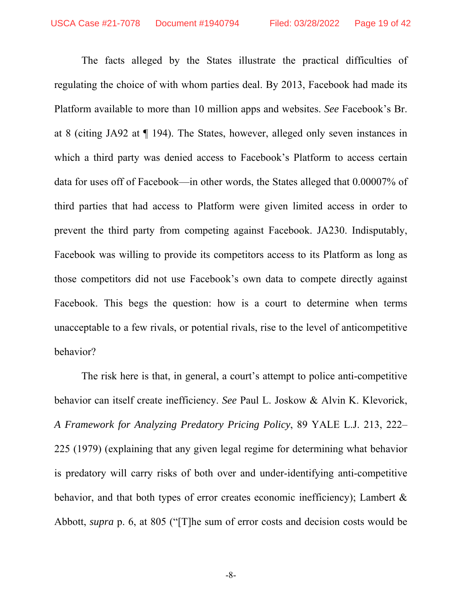The facts alleged by the States illustrate the practical difficulties of regulating the choice of with whom parties deal. By 2013, Facebook had made its Platform available to more than 10 million apps and websites. *See* Facebook's Br. at 8 (citing JA92 at ¶ 194). The States, however, alleged only seven instances in which a third party was denied access to Facebook's Platform to access certain data for uses off of Facebook—in other words, the States alleged that 0.00007% of third parties that had access to Platform were given limited access in order to prevent the third party from competing against Facebook. JA230. Indisputably, Facebook was willing to provide its competitors access to its Platform as long as those competitors did not use Facebook's own data to compete directly against Facebook. This begs the question: how is a court to determine when terms unacceptable to a few rivals, or potential rivals, rise to the level of anticompetitive behavior?

The risk here is that, in general, a court's attempt to police anti-competitive behavior can itself create inefficiency. *See* Paul L. Joskow & Alvin K. Klevorick, *A Framework for Analyzing Predatory Pricing Policy*, 89 YALE L.J. 213, 222– 225 (1979) (explaining that any given legal regime for determining what behavior is predatory will carry risks of both over and under-identifying anti-competitive behavior, and that both types of error creates economic inefficiency); Lambert & Abbott, *supra* p. 6, at 805 ("[T]he sum of error costs and decision costs would be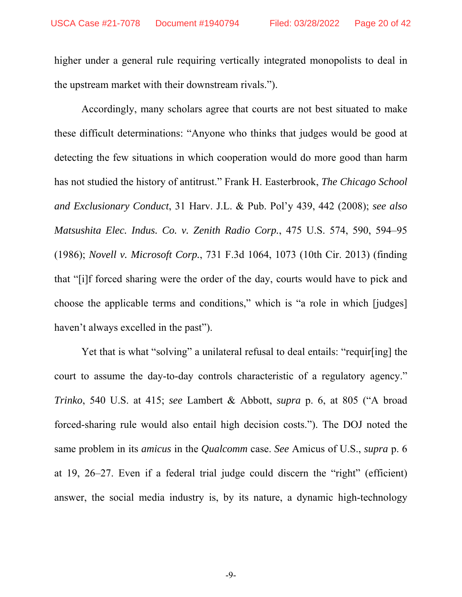higher under a general rule requiring vertically integrated monopolists to deal in the upstream market with their downstream rivals.").

Accordingly, many scholars agree that courts are not best situated to make these difficult determinations: "Anyone who thinks that judges would be good at detecting the few situations in which cooperation would do more good than harm has not studied the history of antitrust." Frank H. Easterbrook, *The Chicago School and Exclusionary Conduct*, 31 Harv. J.L. & Pub. Pol'y 439, 442 (2008); *see also Matsushita Elec. Indus. Co. v. Zenith Radio Corp.*, 475 U.S. 574, 590, 594–95 (1986); *Novell v. Microsoft Corp.*, 731 F.3d 1064, 1073 (10th Cir. 2013) (finding that "[i]f forced sharing were the order of the day, courts would have to pick and choose the applicable terms and conditions," which is "a role in which [judges] haven't always excelled in the past").

Yet that is what "solving" a unilateral refusal to deal entails: "requir[ing] the court to assume the day-to-day controls characteristic of a regulatory agency." *Trinko*, 540 U.S. at 415; *see* Lambert & Abbott, *supra* p. 6, at 805 ("A broad forced-sharing rule would also entail high decision costs."). The DOJ noted the same problem in its *amicus* in the *Qualcomm* case. *See* Amicus of U.S., *supra* p. 6 at 19, 26–27. Even if a federal trial judge could discern the "right" (efficient) answer, the social media industry is, by its nature, a dynamic high-technology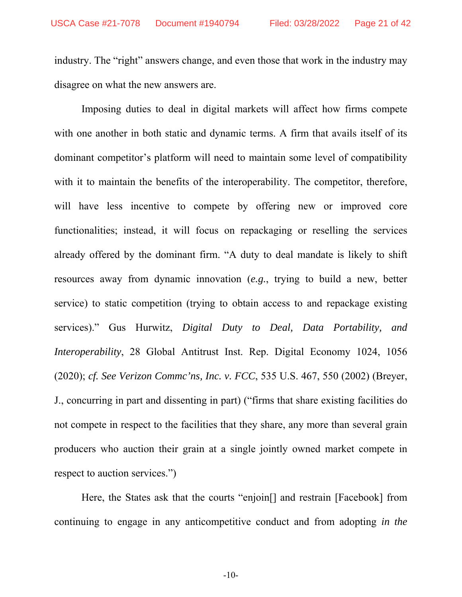industry. The "right" answers change, and even those that work in the industry may disagree on what the new answers are.

Imposing duties to deal in digital markets will affect how firms compete with one another in both static and dynamic terms. A firm that avails itself of its dominant competitor's platform will need to maintain some level of compatibility with it to maintain the benefits of the interoperability. The competitor, therefore, will have less incentive to compete by offering new or improved core functionalities; instead, it will focus on repackaging or reselling the services already offered by the dominant firm. "A duty to deal mandate is likely to shift resources away from dynamic innovation (*e.g.*, trying to build a new, better service) to static competition (trying to obtain access to and repackage existing services)." Gus Hurwitz, *Digital Duty to Deal, Data Portability, and Interoperability*, 28 Global Antitrust Inst. Rep. Digital Economy 1024, 1056 (2020); *cf. See Verizon Commc'ns, Inc. v. FCC*, 535 U.S. 467, 550 (2002) (Breyer, J., concurring in part and dissenting in part) ("firms that share existing facilities do not compete in respect to the facilities that they share, any more than several grain producers who auction their grain at a single jointly owned market compete in respect to auction services.")

Here, the States ask that the courts "enjoin<sup>[]</sup> and restrain [Facebook] from continuing to engage in any anticompetitive conduct and from adopting *in the*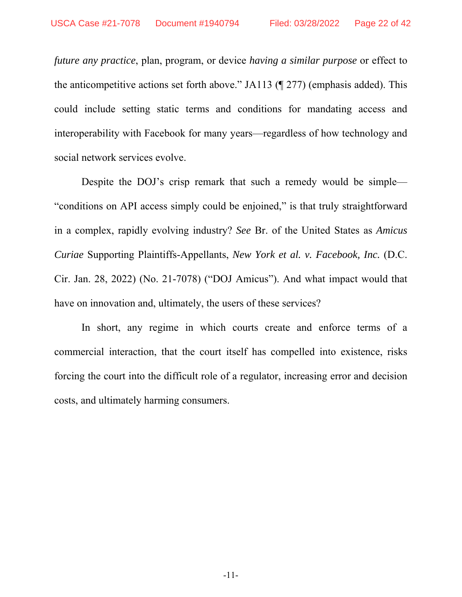*future any practice*, plan, program, or device *having a similar purpose* or effect to the anticompetitive actions set forth above." JA113 (¶ 277) (emphasis added). This could include setting static terms and conditions for mandating access and interoperability with Facebook for many years—regardless of how technology and social network services evolve.

Despite the DOJ's crisp remark that such a remedy would be simple— "conditions on API access simply could be enjoined," is that truly straightforward in a complex, rapidly evolving industry? *See* Br. of the United States as *Amicus Curiae* Supporting Plaintiffs-Appellants, *New York et al. v. Facebook, Inc.* (D.C. Cir. Jan. 28, 2022) (No. 21-7078) ("DOJ Amicus"). And what impact would that have on innovation and, ultimately, the users of these services?

In short, any regime in which courts create and enforce terms of a commercial interaction, that the court itself has compelled into existence, risks forcing the court into the difficult role of a regulator, increasing error and decision costs, and ultimately harming consumers.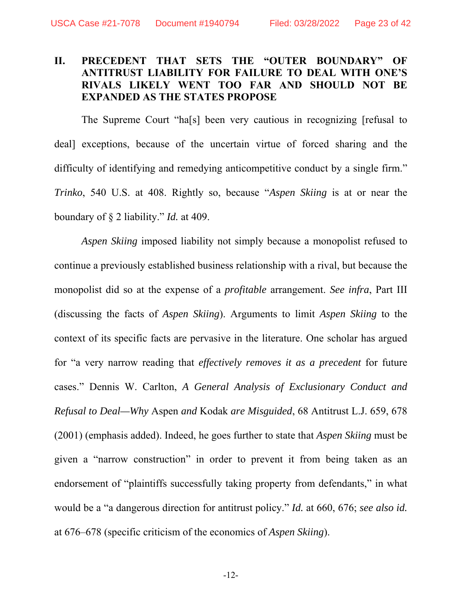## **II. PRECEDENT THAT SETS THE "OUTER BOUNDARY" OF ANTITRUST LIABILITY FOR FAILURE TO DEAL WITH ONE'S RIVALS LIKELY WENT TOO FAR AND SHOULD NOT BE EXPANDED AS THE STATES PROPOSE**

The Supreme Court "ha[s] been very cautious in recognizing [refusal to deal] exceptions, because of the uncertain virtue of forced sharing and the difficulty of identifying and remedying anticompetitive conduct by a single firm." *Trinko*, 540 U.S. at 408. Rightly so, because "*Aspen Skiing* is at or near the boundary of § 2 liability." *Id.* at 409.

*Aspen Skiing* imposed liability not simply because a monopolist refused to continue a previously established business relationship with a rival, but because the monopolist did so at the expense of a *profitable* arrangement. *See infra*, Part III (discussing the facts of *Aspen Skiing*). Arguments to limit *Aspen Skiing* to the context of its specific facts are pervasive in the literature. One scholar has argued for "a very narrow reading that *effectively removes it as a precedent* for future cases." Dennis W. Carlton, *A General Analysis of Exclusionary Conduct and Refusal to Deal—Why* Aspen *and* Kodak *are Misguided*, 68 Antitrust L.J. 659, 678 (2001) (emphasis added). Indeed, he goes further to state that *Aspen Skiing* must be given a "narrow construction" in order to prevent it from being taken as an endorsement of "plaintiffs successfully taking property from defendants," in what would be a "a dangerous direction for antitrust policy." *Id.* at 660, 676; *see also id.*  at 676–678 (specific criticism of the economics of *Aspen Skiing*).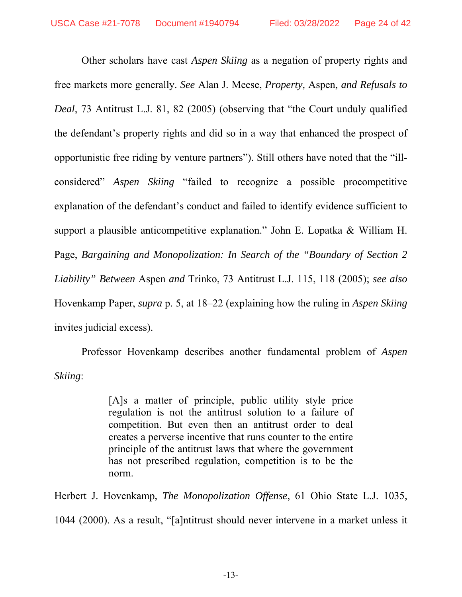Other scholars have cast *Aspen Skiing* as a negation of property rights and free markets more generally. *See* Alan J. Meese, *Property,* Aspen*, and Refusals to Deal*, 73 Antitrust L.J. 81, 82 (2005) (observing that "the Court unduly qualified the defendant's property rights and did so in a way that enhanced the prospect of opportunistic free riding by venture partners"). Still others have noted that the "illconsidered" *Aspen Skiing* "failed to recognize a possible procompetitive explanation of the defendant's conduct and failed to identify evidence sufficient to support a plausible anticompetitive explanation." John E. Lopatka & William H. Page, *Bargaining and Monopolization: In Search of the "Boundary of Section 2 Liability" Between* Aspen *and* Trinko, 73 Antitrust L.J. 115, 118 (2005); *see also*  Hovenkamp Paper, *supra* p. 5, at 18–22 (explaining how the ruling in *Aspen Skiing*  invites judicial excess).

Professor Hovenkamp describes another fundamental problem of *Aspen Skiing*:

> [A]s a matter of principle, public utility style price regulation is not the antitrust solution to a failure of competition. But even then an antitrust order to deal creates a perverse incentive that runs counter to the entire principle of the antitrust laws that where the government has not prescribed regulation, competition is to be the norm.

Herbert J. Hovenkamp, *The Monopolization Offense*, 61 Ohio State L.J. 1035, 1044 (2000). As a result, "[a]ntitrust should never intervene in a market unless it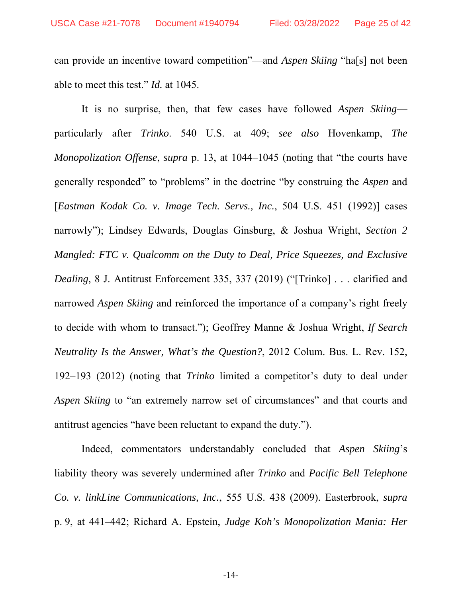can provide an incentive toward competition"—and *Aspen Skiing* "ha[s] not been able to meet this test." *Id.* at 1045.

It is no surprise, then, that few cases have followed *Aspen Skiing* particularly after *Trinko*. 540 U.S. at 409; *see also* Hovenkamp, *The Monopolization Offense*, *supra* p. 13, at 1044–1045 (noting that "the courts have generally responded" to "problems" in the doctrine "by construing the *Aspen* and [*Eastman Kodak Co. v. Image Tech. Servs., Inc.*, 504 U.S. 451 (1992)] cases narrowly"); Lindsey Edwards, Douglas Ginsburg, & Joshua Wright, *Section 2 Mangled: FTC v. Qualcomm on the Duty to Deal, Price Squeezes, and Exclusive Dealing*, 8 J. Antitrust Enforcement 335, 337 (2019) ("[Trinko] . . . clarified and narrowed *Aspen Skiing* and reinforced the importance of a company's right freely to decide with whom to transact."); Geoffrey Manne & Joshua Wright, *If Search Neutrality Is the Answer, What's the Question?*, 2012 Colum. Bus. L. Rev. 152, 192–193 (2012) (noting that *Trinko* limited a competitor's duty to deal under *Aspen Skiing* to "an extremely narrow set of circumstances" and that courts and antitrust agencies "have been reluctant to expand the duty.").

Indeed, commentators understandably concluded that *Aspen Skiing*'s liability theory was severely undermined after *Trinko* and *Pacific Bell Telephone Co. v. linkLine Communications, Inc.*, 555 U.S. 438 (2009). Easterbrook, *supra*  p. 9, at 441–442; Richard A. Epstein, *Judge Koh's Monopolization Mania: Her* 

-14-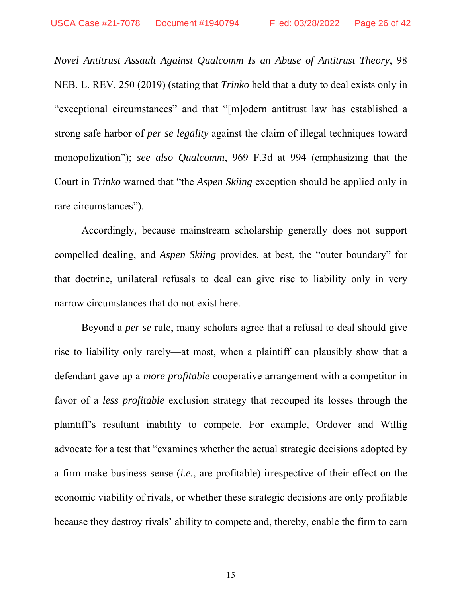*Novel Antitrust Assault Against Qualcomm Is an Abuse of Antitrust Theory*, 98 NEB. L. REV. 250 (2019) (stating that *Trinko* held that a duty to deal exists only in "exceptional circumstances" and that "[m]odern antitrust law has established a strong safe harbor of *per se legality* against the claim of illegal techniques toward monopolization"); *see also Qualcomm*, 969 F.3d at 994 (emphasizing that the Court in *Trinko* warned that "the *Aspen Skiing* exception should be applied only in rare circumstances").

Accordingly, because mainstream scholarship generally does not support compelled dealing, and *Aspen Skiing* provides, at best, the "outer boundary" for that doctrine, unilateral refusals to deal can give rise to liability only in very narrow circumstances that do not exist here.

Beyond a *per se* rule, many scholars agree that a refusal to deal should give rise to liability only rarely—at most, when a plaintiff can plausibly show that a defendant gave up a *more profitable* cooperative arrangement with a competitor in favor of a *less profitable* exclusion strategy that recouped its losses through the plaintiff's resultant inability to compete. For example, Ordover and Willig advocate for a test that "examines whether the actual strategic decisions adopted by a firm make business sense (*i.e.*, are profitable) irrespective of their effect on the economic viability of rivals, or whether these strategic decisions are only profitable because they destroy rivals' ability to compete and, thereby, enable the firm to earn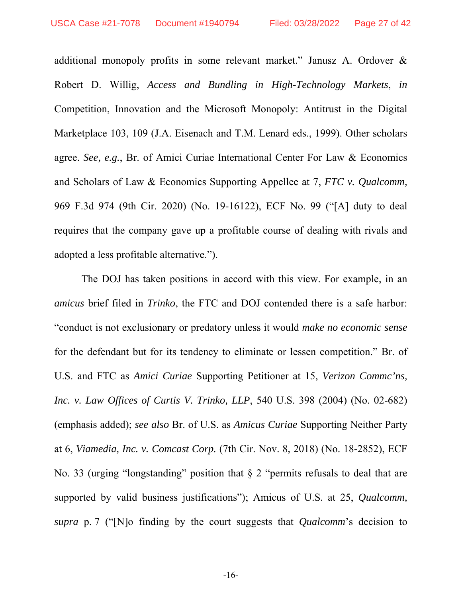additional monopoly profits in some relevant market." Janusz A. Ordover & Robert D. Willig, *Access and Bundling in High-Technology Markets*, *in*  Competition, Innovation and the Microsoft Monopoly: Antitrust in the Digital Marketplace 103, 109 (J.A. Eisenach and T.M. Lenard eds., 1999). Other scholars agree. *See, e.g.*, Br. of Amici Curiae International Center For Law & Economics and Scholars of Law & Economics Supporting Appellee at 7, *FTC v. Qualcomm,*  969 F.3d 974 (9th Cir. 2020) (No. 19-16122), ECF No. 99 ("[A] duty to deal requires that the company gave up a profitable course of dealing with rivals and adopted a less profitable alternative.").

The DOJ has taken positions in accord with this view. For example, in an *amicus* brief filed in *Trinko*, the FTC and DOJ contended there is a safe harbor: "conduct is not exclusionary or predatory unless it would *make no economic sense* for the defendant but for its tendency to eliminate or lessen competition." Br. of U.S. and FTC as *Amici Curiae* Supporting Petitioner at 15, *Verizon Commc'ns, Inc. v. Law Offices of Curtis V. Trinko, LLP*, 540 U.S. 398 (2004) (No. 02-682) (emphasis added); *see also* Br. of U.S. as *Amicus Curiae* Supporting Neither Party at 6, *Viamedia, Inc. v. Comcast Corp.* (7th Cir. Nov. 8, 2018) (No. 18-2852), ECF No. 33 (urging "longstanding" position that § 2 "permits refusals to deal that are supported by valid business justifications"); Amicus of U.S. at 25, *Qualcomm, supra* p. 7 ("[N]o finding by the court suggests that *Qualcomm*'s decision to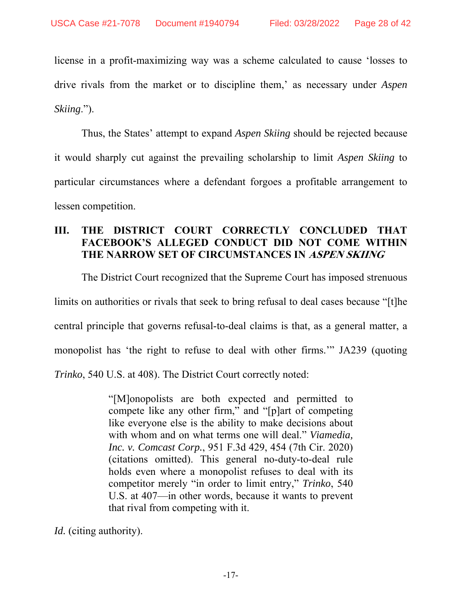license in a profit-maximizing way was a scheme calculated to cause 'losses to drive rivals from the market or to discipline them,' as necessary under *Aspen Skiing*.").

Thus, the States' attempt to expand *Aspen Skiing* should be rejected because it would sharply cut against the prevailing scholarship to limit *Aspen Skiing* to particular circumstances where a defendant forgoes a profitable arrangement to lessen competition.

## **III. THE DISTRICT COURT CORRECTLY CONCLUDED THAT FACEBOOK'S ALLEGED CONDUCT DID NOT COME WITHIN THE NARROW SET OF CIRCUMSTANCES IN ASPEN SKIING**

The District Court recognized that the Supreme Court has imposed strenuous limits on authorities or rivals that seek to bring refusal to deal cases because "[t]he central principle that governs refusal-to-deal claims is that, as a general matter, a monopolist has 'the right to refuse to deal with other firms.'" JA239 (quoting *Trinko*, 540 U.S. at 408). The District Court correctly noted:

> "[M]onopolists are both expected and permitted to compete like any other firm," and "[p]art of competing like everyone else is the ability to make decisions about with whom and on what terms one will deal." *Viamedia, Inc. v. Comcast Corp.*, 951 F.3d 429, 454 (7th Cir. 2020) (citations omitted). This general no-duty-to-deal rule holds even where a monopolist refuses to deal with its competitor merely "in order to limit entry," *Trinko*, 540 U.S. at 407—in other words, because it wants to prevent that rival from competing with it.

*Id.* (citing authority).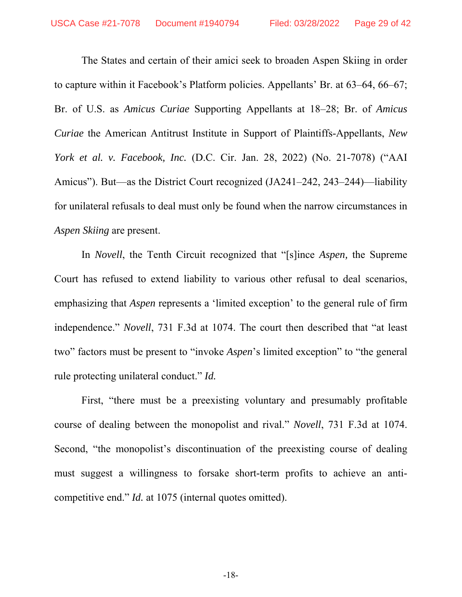The States and certain of their amici seek to broaden Aspen Skiing in order to capture within it Facebook's Platform policies. Appellants' Br. at 63–64, 66–67; Br. of U.S. as *Amicus Curiae* Supporting Appellants at 18–28; Br. of *Amicus Curiae* the American Antitrust Institute in Support of Plaintiffs-Appellants, *New York et al. v. Facebook, Inc.* (D.C. Cir. Jan. 28, 2022) (No. 21-7078) ("AAI Amicus"). But—as the District Court recognized (JA241–242, 243–244)—liability for unilateral refusals to deal must only be found when the narrow circumstances in *Aspen Skiing* are present.

In *Novell*, the Tenth Circuit recognized that "[s]ince *Aspen,* the Supreme Court has refused to extend liability to various other refusal to deal scenarios, emphasizing that *Aspen* represents a 'limited exception' to the general rule of firm independence." *Novell*, 731 F.3d at 1074. The court then described that "at least two" factors must be present to "invoke *Aspen*'s limited exception" to "the general rule protecting unilateral conduct." *Id.*

First, "there must be a preexisting voluntary and presumably profitable course of dealing between the monopolist and rival." *Novell*, 731 F.3d at 1074. Second, "the monopolist's discontinuation of the preexisting course of dealing must suggest a willingness to forsake short-term profits to achieve an anticompetitive end." *Id.* at 1075 (internal quotes omitted).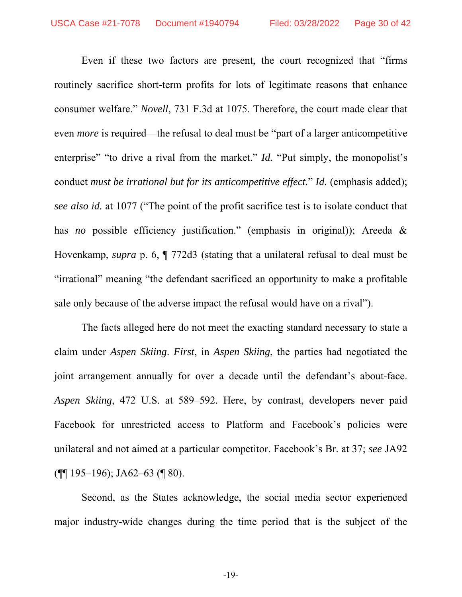Even if these two factors are present, the court recognized that "firms routinely sacrifice short-term profits for lots of legitimate reasons that enhance consumer welfare." *Novell*, 731 F.3d at 1075. Therefore, the court made clear that even *more* is required—the refusal to deal must be "part of a larger anticompetitive enterprise" "to drive a rival from the market." *Id.* "Put simply, the monopolist's conduct *must be irrational but for its anticompetitive effect.*" *Id.* (emphasis added); *see also id.* at 1077 ("The point of the profit sacrifice test is to isolate conduct that has *no* possible efficiency justification." (emphasis in original)); Areeda & Hovenkamp, *supra* p. 6, ¶ 772d3 (stating that a unilateral refusal to deal must be "irrational" meaning "the defendant sacrificed an opportunity to make a profitable sale only because of the adverse impact the refusal would have on a rival").

The facts alleged here do not meet the exacting standard necessary to state a claim under *Aspen Skiing*. *First*, in *Aspen Skiing*, the parties had negotiated the joint arrangement annually for over a decade until the defendant's about-face. *Aspen Skiing*, 472 U.S. at 589–592. Here, by contrast, developers never paid Facebook for unrestricted access to Platform and Facebook's policies were unilateral and not aimed at a particular competitor. Facebook's Br. at 37; *see* JA92 (¶¶ 195–196); JA62–63 (¶ 80).

Second, as the States acknowledge, the social media sector experienced major industry-wide changes during the time period that is the subject of the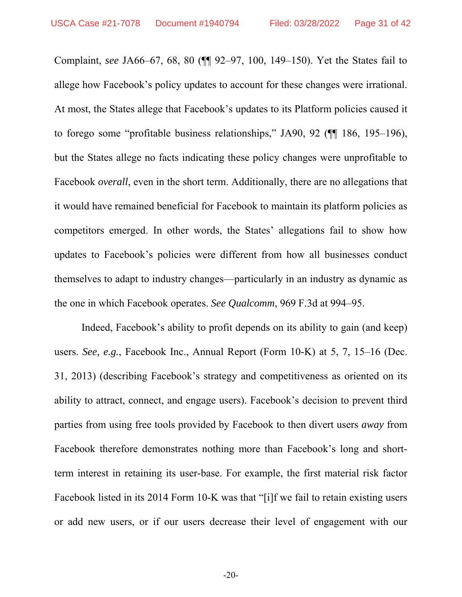Complaint, *see* JA66–67, 68, 80 (¶¶ 92–97, 100, 149–150). Yet the States fail to allege how Facebook's policy updates to account for these changes were irrational. At most, the States allege that Facebook's updates to its Platform policies caused it to forego some "profitable business relationships," JA90, 92 (¶¶ 186, 195–196), but the States allege no facts indicating these policy changes were unprofitable to Facebook *overall*, even in the short term. Additionally, there are no allegations that it would have remained beneficial for Facebook to maintain its platform policies as competitors emerged. In other words, the States' allegations fail to show how updates to Facebook's policies were different from how all businesses conduct themselves to adapt to industry changes—particularly in an industry as dynamic as the one in which Facebook operates. *See Qualcomm*, 969 F.3d at 994–95.

Indeed, Facebook's ability to profit depends on its ability to gain (and keep) users. *See, e.g.*, Facebook Inc., Annual Report (Form 10-K) at 5, 7, 15–16 (Dec. 31, 2013) (describing Facebook's strategy and competitiveness as oriented on its ability to attract, connect, and engage users). Facebook's decision to prevent third parties from using free tools provided by Facebook to then divert users *away* from Facebook therefore demonstrates nothing more than Facebook's long and shortterm interest in retaining its user-base. For example, the first material risk factor Facebook listed in its 2014 Form 10-K was that "[i]f we fail to retain existing users or add new users, or if our users decrease their level of engagement with our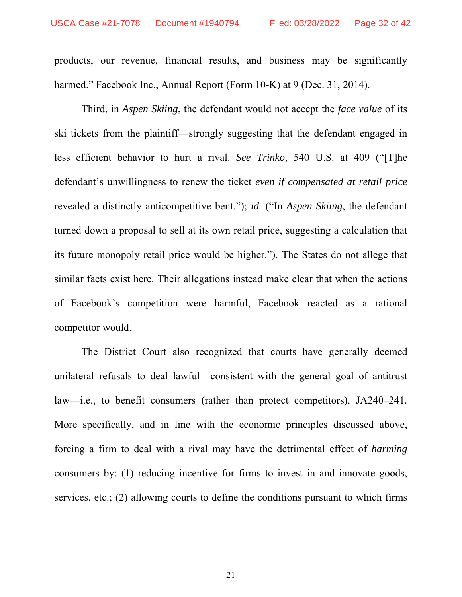products, our revenue, financial results, and business may be significantly harmed." Facebook Inc., Annual Report (Form 10-K) at 9 (Dec. 31, 2014).

Third, in *Aspen Skiing*, the defendant would not accept the *face value* of its ski tickets from the plaintiff—strongly suggesting that the defendant engaged in less efficient behavior to hurt a rival. *See Trinko*, 540 U.S. at 409 ("[T]he defendant's unwillingness to renew the ticket *even if compensated at retail price*  revealed a distinctly anticompetitive bent."); *id.* ("In *Aspen Skiing*, the defendant turned down a proposal to sell at its own retail price, suggesting a calculation that its future monopoly retail price would be higher."). The States do not allege that similar facts exist here. Their allegations instead make clear that when the actions of Facebook's competition were harmful, Facebook reacted as a rational competitor would.

The District Court also recognized that courts have generally deemed unilateral refusals to deal lawful—consistent with the general goal of antitrust law—i.e., to benefit consumers (rather than protect competitors). JA240–241*.* More specifically, and in line with the economic principles discussed above, forcing a firm to deal with a rival may have the detrimental effect of *harming*  consumers by: (1) reducing incentive for firms to invest in and innovate goods, services, etc.; (2) allowing courts to define the conditions pursuant to which firms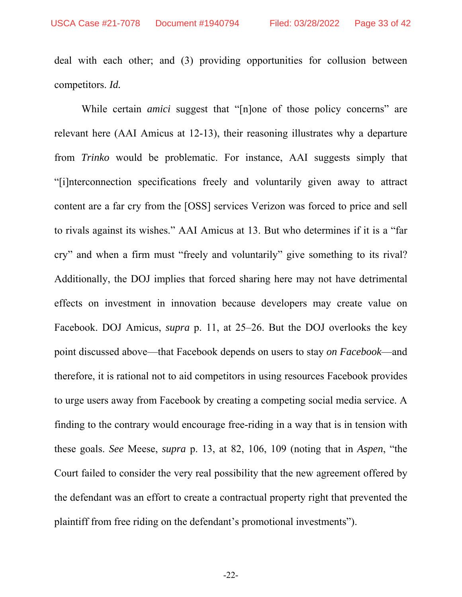deal with each other; and (3) providing opportunities for collusion between competitors. *Id.*

While certain *amici* suggest that "[n]one of those policy concerns" are relevant here (AAI Amicus at 12-13), their reasoning illustrates why a departure from *Trinko* would be problematic. For instance, AAI suggests simply that "[i]nterconnection specifications freely and voluntarily given away to attract content are a far cry from the [OSS] services Verizon was forced to price and sell to rivals against its wishes." AAI Amicus at 13. But who determines if it is a "far cry" and when a firm must "freely and voluntarily" give something to its rival? Additionally, the DOJ implies that forced sharing here may not have detrimental effects on investment in innovation because developers may create value on Facebook. DOJ Amicus, *supra* p. 11, at 25–26. But the DOJ overlooks the key point discussed above—that Facebook depends on users to stay *on Facebook*—and therefore, it is rational not to aid competitors in using resources Facebook provides to urge users away from Facebook by creating a competing social media service. A finding to the contrary would encourage free-riding in a way that is in tension with these goals. *See* Meese, *supra* p. 13, at 82, 106, 109 (noting that in *Aspen*, "the Court failed to consider the very real possibility that the new agreement offered by the defendant was an effort to create a contractual property right that prevented the plaintiff from free riding on the defendant's promotional investments").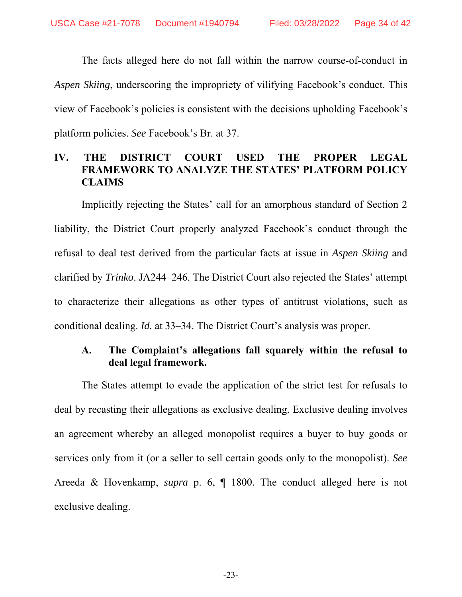The facts alleged here do not fall within the narrow course-of-conduct in *Aspen Skiing*, underscoring the impropriety of vilifying Facebook's conduct. This view of Facebook's policies is consistent with the decisions upholding Facebook's platform policies. *See* Facebook's Br. at 37.

## **IV. THE DISTRICT COURT USED THE PROPER LEGAL FRAMEWORK TO ANALYZE THE STATES' PLATFORM POLICY CLAIMS**

Implicitly rejecting the States' call for an amorphous standard of Section 2 liability, the District Court properly analyzed Facebook's conduct through the refusal to deal test derived from the particular facts at issue in *Aspen Skiing* and clarified by *Trinko*. JA244–246. The District Court also rejected the States' attempt to characterize their allegations as other types of antitrust violations, such as conditional dealing. *Id.* at 33–34. The District Court's analysis was proper.

## **A. The Complaint's allegations fall squarely within the refusal to deal legal framework.**

The States attempt to evade the application of the strict test for refusals to deal by recasting their allegations as exclusive dealing. Exclusive dealing involves an agreement whereby an alleged monopolist requires a buyer to buy goods or services only from it (or a seller to sell certain goods only to the monopolist). *See*  Areeda & Hovenkamp, *supra* p. 6, ¶ 1800. The conduct alleged here is not exclusive dealing.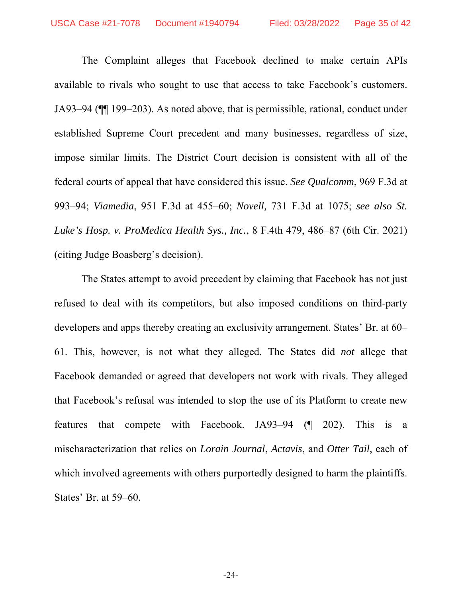The Complaint alleges that Facebook declined to make certain APIs available to rivals who sought to use that access to take Facebook's customers. JA93–94 (¶¶ 199–203). As noted above, that is permissible, rational, conduct under established Supreme Court precedent and many businesses, regardless of size, impose similar limits. The District Court decision is consistent with all of the federal courts of appeal that have considered this issue. *See Qualcomm*, 969 F.3d at 993–94; *Viamedia*, 951 F.3d at 455–60; *Novell,* 731 F.3d at 1075; *see also St. Luke's Hosp. v. ProMedica Health Sys., Inc.*, 8 F.4th 479, 486–87 (6th Cir. 2021) (citing Judge Boasberg's decision).

The States attempt to avoid precedent by claiming that Facebook has not just refused to deal with its competitors, but also imposed conditions on third-party developers and apps thereby creating an exclusivity arrangement. States' Br. at 60– 61. This, however, is not what they alleged. The States did *not* allege that Facebook demanded or agreed that developers not work with rivals. They alleged that Facebook's refusal was intended to stop the use of its Platform to create new features that compete with Facebook. JA93–94 (¶ 202). This is a mischaracterization that relies on *Lorain Journal*, *Actavis*, and *Otter Tail*, each of which involved agreements with others purportedly designed to harm the plaintiffs. States' Br. at 59–60.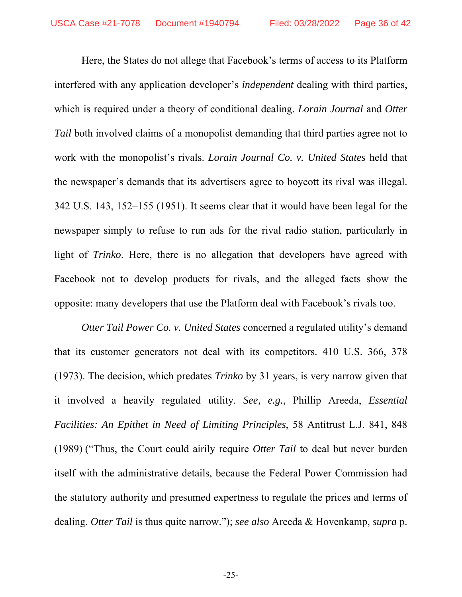Here, the States do not allege that Facebook's terms of access to its Platform interfered with any application developer's *independent* dealing with third parties, which is required under a theory of conditional dealing. *Lorain Journal* and *Otter Tail* both involved claims of a monopolist demanding that third parties agree not to work with the monopolist's rivals. *Lorain Journal Co. v. United States* held that the newspaper's demands that its advertisers agree to boycott its rival was illegal. 342 U.S. 143, 152–155 (1951). It seems clear that it would have been legal for the newspaper simply to refuse to run ads for the rival radio station, particularly in light of *Trinko*. Here, there is no allegation that developers have agreed with Facebook not to develop products for rivals, and the alleged facts show the opposite: many developers that use the Platform deal with Facebook's rivals too.

*Otter Tail Power Co. v. United States* concerned a regulated utility's demand that its customer generators not deal with its competitors. 410 U.S. 366, 378 (1973). The decision, which predates *Trinko* by 31 years, is very narrow given that it involved a heavily regulated utility. *See, e.g.*, Phillip Areeda, *Essential Facilities: An Epithet in Need of Limiting Principles*, 58 Antitrust L.J. 841, 848 (1989) ("Thus, the Court could airily require *Otter Tail* to deal but never burden itself with the administrative details, because the Federal Power Commission had the statutory authority and presumed expertness to regulate the prices and terms of dealing. *Otter Tail* is thus quite narrow."); *see also* Areeda & Hovenkamp, *supra* p.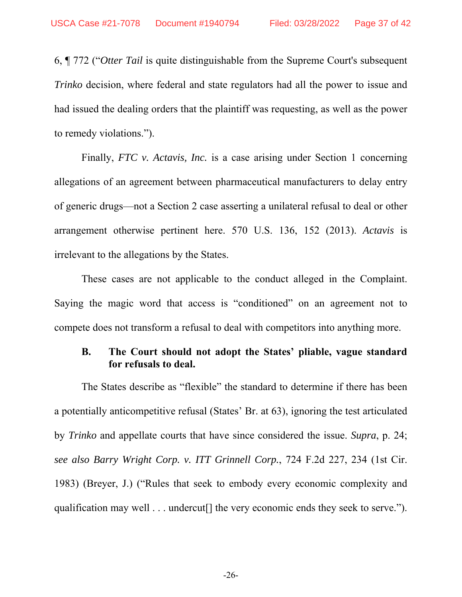6, ¶ 772 ("*Otter Tail* is quite distinguishable from the Supreme Court's subsequent *Trinko* decision, where federal and state regulators had all the power to issue and had issued the dealing orders that the plaintiff was requesting, as well as the power to remedy violations.").

Finally, *FTC v. Actavis, Inc.* is a case arising under Section 1 concerning allegations of an agreement between pharmaceutical manufacturers to delay entry of generic drugs—not a Section 2 case asserting a unilateral refusal to deal or other arrangement otherwise pertinent here. 570 U.S. 136, 152 (2013). *Actavis* is irrelevant to the allegations by the States.

These cases are not applicable to the conduct alleged in the Complaint. Saying the magic word that access is "conditioned" on an agreement not to compete does not transform a refusal to deal with competitors into anything more.

## **B. The Court should not adopt the States' pliable, vague standard for refusals to deal.**

The States describe as "flexible" the standard to determine if there has been a potentially anticompetitive refusal (States' Br. at 63), ignoring the test articulated by *Trinko* and appellate courts that have since considered the issue. *Supra*, p. 24; *see also Barry Wright Corp. v. ITT Grinnell Corp.*, 724 F.2d 227, 234 (1st Cir. 1983) (Breyer, J.) ("Rules that seek to embody every economic complexity and qualification may well . . . undercut<sup>[]</sup> the very economic ends they seek to serve.").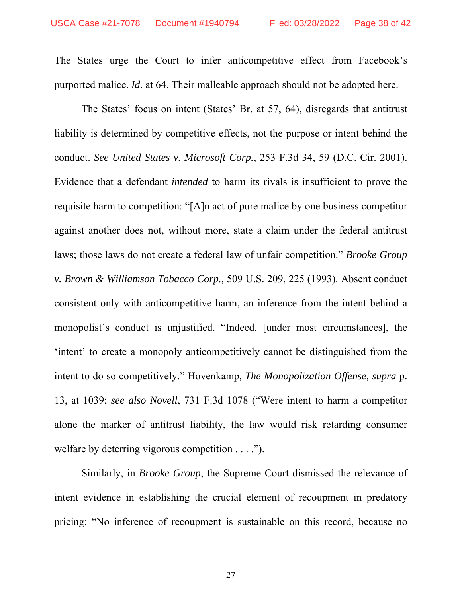The States urge the Court to infer anticompetitive effect from Facebook's purported malice. *Id*. at 64. Their malleable approach should not be adopted here.

The States' focus on intent (States' Br. at 57, 64), disregards that antitrust liability is determined by competitive effects, not the purpose or intent behind the conduct. *See United States v. Microsoft Corp.*, 253 F.3d 34, 59 (D.C. Cir. 2001). Evidence that a defendant *intended* to harm its rivals is insufficient to prove the requisite harm to competition: "[A]n act of pure malice by one business competitor against another does not, without more, state a claim under the federal antitrust laws; those laws do not create a federal law of unfair competition." *Brooke Group v. Brown & Williamson Tobacco Corp.*, 509 U.S. 209, 225 (1993). Absent conduct consistent only with anticompetitive harm, an inference from the intent behind a monopolist's conduct is unjustified. "Indeed, [under most circumstances], the 'intent' to create a monopoly anticompetitively cannot be distinguished from the intent to do so competitively." Hovenkamp, *The Monopolization Offense*, *supra* p. 13, at 1039; *see also Novell*, 731 F.3d 1078 ("Were intent to harm a competitor alone the marker of antitrust liability, the law would risk retarding consumer welfare by deterring vigorous competition . . . .").

Similarly, in *Brooke Group*, the Supreme Court dismissed the relevance of intent evidence in establishing the crucial element of recoupment in predatory pricing: "No inference of recoupment is sustainable on this record, because no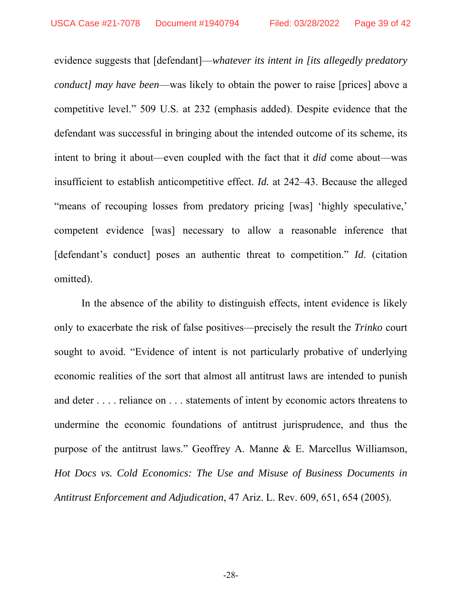evidence suggests that [defendant]—*whatever its intent in [its allegedly predatory conduct] may have been*—was likely to obtain the power to raise [prices] above a competitive level." 509 U.S. at 232 (emphasis added). Despite evidence that the defendant was successful in bringing about the intended outcome of its scheme, its intent to bring it about—even coupled with the fact that it *did* come about—was insufficient to establish anticompetitive effect. *Id.* at 242–43. Because the alleged "means of recouping losses from predatory pricing [was] 'highly speculative,' competent evidence [was] necessary to allow a reasonable inference that [defendant's conduct] poses an authentic threat to competition." *Id*. (citation omitted).

In the absence of the ability to distinguish effects, intent evidence is likely only to exacerbate the risk of false positives—precisely the result the *Trinko* court sought to avoid. "Evidence of intent is not particularly probative of underlying economic realities of the sort that almost all antitrust laws are intended to punish and deter . . . . reliance on . . . statements of intent by economic actors threatens to undermine the economic foundations of antitrust jurisprudence, and thus the purpose of the antitrust laws." Geoffrey A. Manne & E. Marcellus Williamson, *Hot Docs vs. Cold Economics: The Use and Misuse of Business Documents in Antitrust Enforcement and Adjudication*, 47 Ariz. L. Rev. 609, 651, 654 (2005).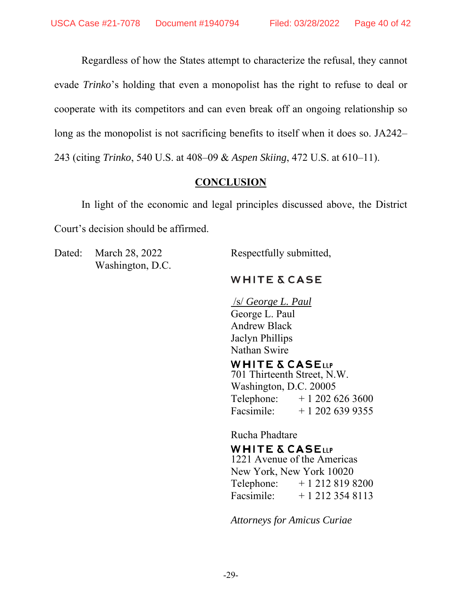Regardless of how the States attempt to characterize the refusal, they cannot evade *Trinko*'s holding that even a monopolist has the right to refuse to deal or cooperate with its competitors and can even break off an ongoing relationship so long as the monopolist is not sacrificing benefits to itself when it does so. JA242– 243 (citing *Trinko*, 540 U.S. at 408–09 & *Aspen Skiing*, 472 U.S. at 610–11).

## **CONCLUSION**

In light of the economic and legal principles discussed above, the District Court's decision should be affirmed.

Dated: March 28, 2022 Respectfully submitted, Washington, D.C.

# **WHITE & CASE**

 /s/ *George L. Paul* George L. Paul Andrew Black Jaclyn Phillips Nathan Swire

## **WHITE & CASELLP**

701 Thirteenth Street, N.W. Washington, D.C. 20005 Telephone:  $+ 12026263600$ Facsimile:  $+ 12026399355$ 

Rucha Phadtare

#### **WHITE & CASELLP**

1221 Avenue of the Americas New York, New York 10020 Telephone:  $+12128198200$ Facsimile:  $+ 1 212 354 8113$ 

*Attorneys for Amicus Curiae*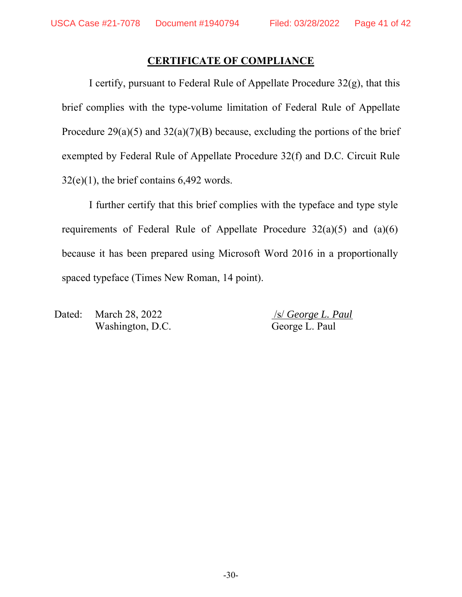#### **CERTIFICATE OF COMPLIANCE**

I certify, pursuant to Federal Rule of Appellate Procedure  $32(g)$ , that this brief complies with the type-volume limitation of Federal Rule of Appellate Procedure  $29(a)(5)$  and  $32(a)(7)(B)$  because, excluding the portions of the brief exempted by Federal Rule of Appellate Procedure 32(f) and D.C. Circuit Rule  $32(e)(1)$ , the brief contains 6,492 words.

I further certify that this brief complies with the typeface and type style requirements of Federal Rule of Appellate Procedure  $32(a)(5)$  and  $(a)(6)$ because it has been prepared using Microsoft Word 2016 in a proportionally spaced typeface (Times New Roman, 14 point).

Dated: March 28, 2022 /s/ *George L. Paul* Washington, D.C. George L. Paul